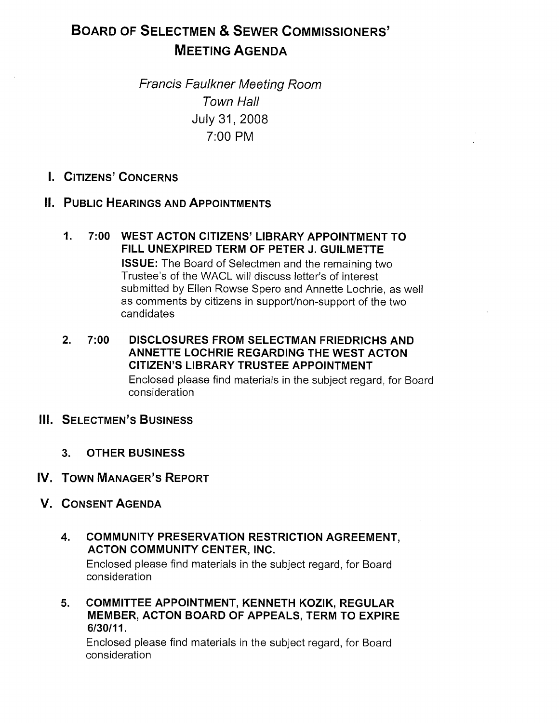# BOARD OF SELECTMEN & SEWER COMMISSIONERS' MEETING AGENDA

Francis Faulkner Meeting Room Town Hall July 31, 2008 7:00 PM

I. CITIZENS' CONCERNS

## II. PUBLIC HEARINGS AND APPOINTMENTS

- 1. 7:00 WEST ACTON CITIZENS' LIBRARY APPOINTMENT TO FILL UNEXPIRED TERM OF PETER J. GUILMETTE ISSUE: The Board of Selectmen and the remaining two Trustee's of the WACL will discuss letter's of interest submitted by Ellen Rowse Spero and Annette Lochrie, as well as comments by citizens in support/non-support of the two candidates
- 2. 7:00 DISCLOSURES FROM SELECTMAN FRIEDRICHS AND ANNETTE LOCHRIE REGARDING THE WEST ACTON CITIZEN'S LIBRARY TRUSTEE APPOINTMENT Enclosed please find materials in the subject regard, for Board consideration

#### **III. SELECTMEN'S BUSINESS**

- 3. OTHER BUSINESS
- IV. TOWN MANAGER'S REPORT
- V. CONSENT AGENDA
	- 4. COMMUNITY PRESERVATION RESTRICTION AGREEMENT, ACTON COMMUNITY CENTER, INC. Enclosed please find materials in the subject regard, for Board

consideration

5. COMMITTEE APPOINTMENT, KENNETH KOZIK, REGULAR MEMBER, ACTON BOARD OF APPEALS, TERM TO EXPIRE 6/30/11.

Enclosed please find materials in the subject regard, for Board consideration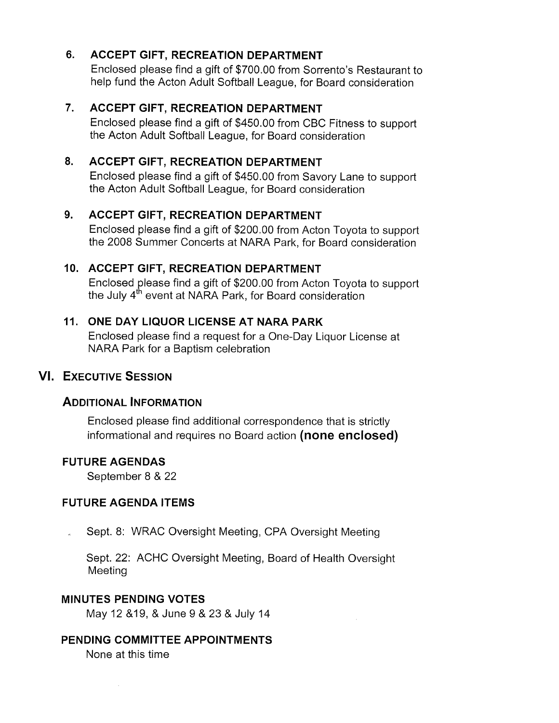# 6. ACCEPT GIFT, RECREATION DEPARTMENT

Enclosed please find a gift of \$700.00 from Sorrento's Restaurant to help fund the Acton Adult Softball League, for Board consideration

## 7. ACCEPT GIFT, RECREATION DEPARTMENT

Enclosed please find a gift of \$450.00 from CBC Fitness to support the Acton Adult Softball League, for Board consideration

# 8. ACCEPT GIFT, RECREATION DEPARTMENT

Enclosed please find a gift of \$450.00 from Savory Lane to support the Acton Adult Softball League, for Board consideration

#### 9. ACCEPT GIFT, RECREATION DEPARTMENT

Enclosed please find a gift of \$200.00 from Acton Toyota to support the 2008 Summer Concerts at NARA Park, for Board consideration

### 10. ACCEPT GIFT, RECREATION DEPARTMENT

Enclosed please find a gift of \$200.00 from Acton Toyota to support the July 4<sup>th</sup> event at NARA Park, for Board consideration

#### 11. ONE DAY LIQUOR LICENSE AT NARA PARK

Enclosed please find a request for a One-Day Liquor License at NARA Park for a Baptism celebration

#### VI. EXECUTIVE SESSION

#### ADDITIONAL INFORMATION

Enclosed please find additional correspondence that is strictly informational and requires no Board action (none enclosed)

#### FUTURE AGENDAS

September 8 & 22

#### FUTURE AGENDA ITEMS

Sept. 8: WRAC Oversight Meeting, CPA Oversight Meeting

Sept. 22: ACHC Oversight Meeting, Board of Health Oversight Meeting

#### MINUTES PENDING VOTES

May 12 &19, & June 9 & 23 & July 14

# PENDING COMMITTEE APPOINTMENTS

None at this time

 $\sim$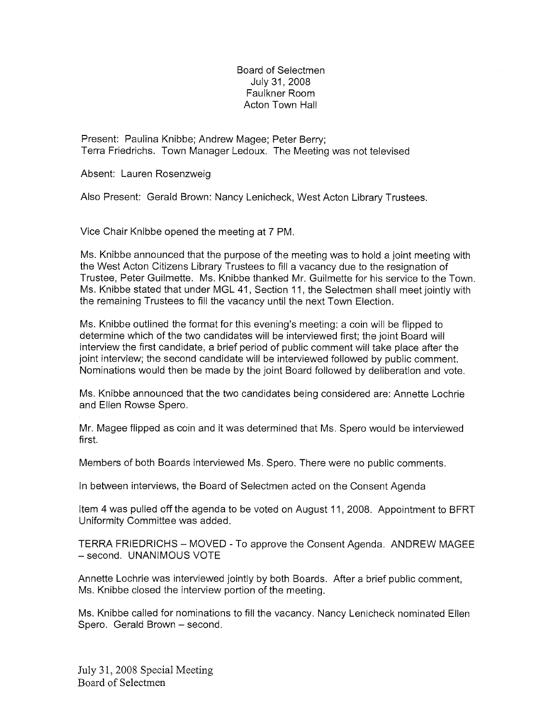#### Board of Selectmen July 31, 2008 Faulkner Room Acton Town Hall

Present: Paulina Knibbe; Andrew Magee; Peter Berry; Terra Friedrichs. Town Manager Ledoux. The Meeting was not televised

Absent: Lauren Rosenzweig

Also Present: Gerald Brown: Nancy Lenicheck, West Acton Library Trustees.

Vice Chair Knibbe opened the meeting at 7 PM.

Ms. Knibbe announced that the purpose of the meeting was to hold a joint meeting with the West Acton Citizens Library Trustees to fill a vacancy due to the resignation of Trustee, Peter Guilmette. Ms. Knibbe thanked Mr. Guilmette for his service to the Town. Ms. Knibbe stated that under MGL 41, Section 11, the Selectmen shall meet jointly with the remaining Trustees to fill the vacancy until the next Town Election.

Ms. Knibbe outlined the format for this evening's meeting: a coin will be flipped to determine which of the two candidates will be interviewed first; the joint Board will interview the first candidate, a brief period of public comment will take place after the joint interview; the second candidate will be interviewed followed by public comment. Nominations would then be made by the joint Board followed by deliberation and vote.

Ms. Knibbe announced that the two candidates being considered are: Annette Lochrie and Ellen Rowse Spero.

Mr. Magee flipped as coin and it was determined that Ms. Spero would be interviewed first.

Members of both Boards interviewed Ms. Spero. There were no public comments.

In between interviews, the Board of Selectmen acted on the Consent Agenda

Item 4 was pulled off the agenda to be voted on August 11, 2008. Appointment to BERT Uniformity Committee was added.

TERRA FRIEDRICHS — MOVED - To approve the Consent Agenda. ANDREW MAGEE — second. UNANIMOUS VOTE

Annette Lochrie was interviewed jointly by both Boards. After a brief public comment, Ms. Knibbe closed the interview portion of the meeting.

Ms. Knibbe called for nominations to fill the vacancy. Nancy Lenicheck nominated Ellen Spero. Gerald Brown — second.

July 31, 2008 Special Meeting Board of Selectmen